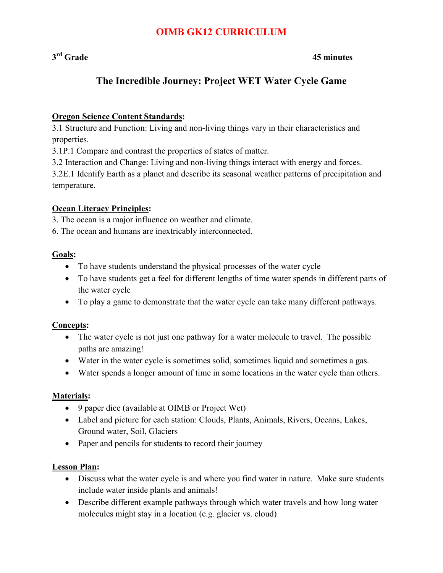## **OIMB GK12 CURRICULUM**

### **3rd Grade 45 minutes**

## **The Incredible Journey: Project WET Water Cycle Game**

#### **Oregon Science Content Standards:**

3.1 Structure and Function: Living and non-living things vary in their characteristics and properties.

3.1P.1 Compare and contrast the properties of states of matter.

3.2 Interaction and Change: Living and non-living things interact with energy and forces.

3.2E.1 Identify Earth as a planet and describe its seasonal weather patterns of precipitation and temperature.

#### **Ocean Literacy Principles:**

3. The ocean is a major influence on weather and climate.

6. The ocean and humans are inextricably interconnected.

#### **Goals:**

- To have students understand the physical processes of the water cycle
- To have students get a feel for different lengths of time water spends in different parts of the water cycle
- To play a game to demonstrate that the water cycle can take many different pathways.

### **Concepts:**

- The water cycle is not just one pathway for a water molecule to travel. The possible paths are amazing!
- ! Water in the water cycle is sometimes solid, sometimes liquid and sometimes a gas.
- ! Water spends a longer amount of time in some locations in the water cycle than others.

#### **Materials:**

- ! 9 paper dice (available at OIMB or Project Wet)
- Label and picture for each station: Clouds, Plants, Animals, Rivers, Oceans, Lakes, Ground water, Soil, Glaciers
- Paper and pencils for students to record their journey

#### **Lesson Plan:**

- Discuss what the water cycle is and where you find water in nature. Make sure students include water inside plants and animals!
- ! Describe different example pathways through which water travels and how long water molecules might stay in a location (e.g. glacier vs. cloud)